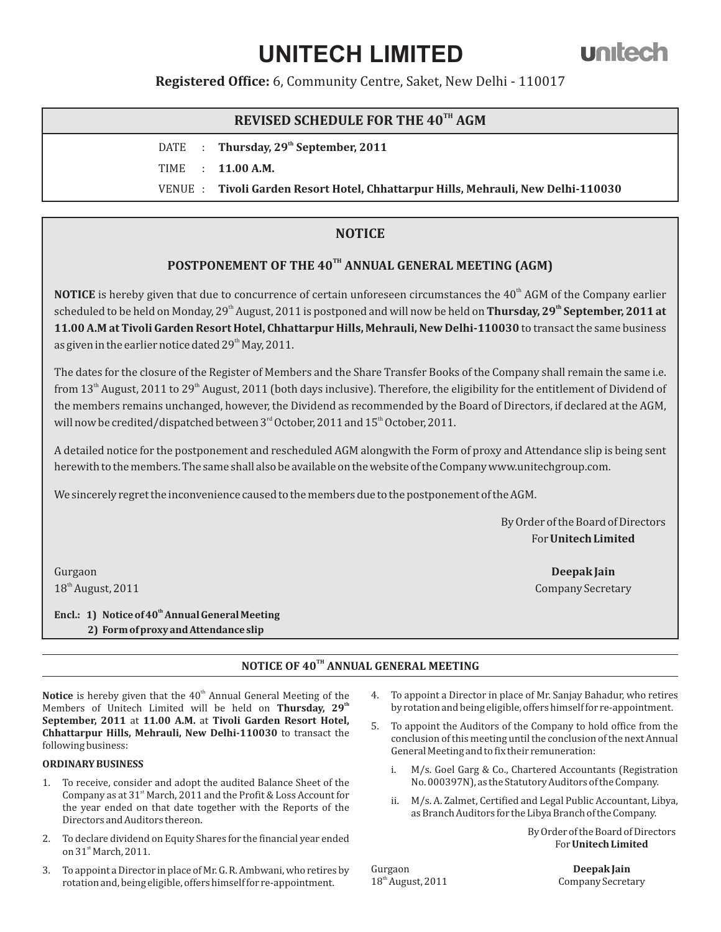# **UNITECH LIMITED**

**Registered Office:** 6, Community Centre, Saket, New Delhi - 110017

## **REVISED SCHEDULE FOR THE 40<sup>TH</sup> AGM**

DATE : **Thursday, 29<sup>th</sup> September, 2011** TIME : **11.00 A.M.**

VENUE : **Tivoli Garden Resort Hotel, Chhattarpur Hills, Mehrauli, New Delhi-110030**

### **NOTICE**

## POSTPONEMENT OF THE 40<sup>TH</sup> ANNUAL GENERAL MEETING (AGM)

**NOTICE** is hereby given that due to concurrence of certain unforeseen circumstances the  $40<sup>th</sup>$  AGM of the Company earlier scheduled to be held on Monday, 29<sup>th</sup> August, 2011 is postponed and will now be held on **Thursday, 29<sup>th</sup> September, 2011 at 11.00 A.M at Tivoli Garden Resort Hotel, Chhattarpur Hills, Mehrauli, New Delhi-110030** to transact the same business as given in the earlier notice dated 29<sup>th</sup> May, 2011.

The dates for the closure of the Register of Members and the Share Transfer Books of the Company shall remain the same i.e. from  $13<sup>th</sup>$  August, 2011 to 29<sup>th</sup> August, 2011 (both days inclusive). Therefore, the eligibility for the entitlement of Dividend of the members remains unchanged, however, the Dividend as recommended by the Board of Directors, if declared at the AGM, will now be credited/dispatched between  $3<sup>rd</sup>$  October, 2011 and  $15<sup>th</sup>$  October, 2011.

A detailed notice for the postponement and rescheduled AGM alongwith the Form of proxy and Attendance slip is being sent herewith to the members. The same shall also be available on the website of the Company www.unitechgroup.com.

We sincerely regret the inconvenience caused to the members due to the postponement of the AGM.

By Order of the Board of Directors For**Unitech Limited**

18<sup>th</sup> August, 2011 **Company Secretary** 

Gurgaon **Deepak Jain**

**th Encl.: 1) Notice of 40 Annual General Meeting 2) Form of proxy and Attendance slip** 

#### **NOTICE OF 40TH ANNUAL GENERAL MEETING**

**Notice** is hereby given that the 40<sup>th</sup> Annual General Meeting of the Members of Unitech Limited will be held on **Thursday**, 29<sup>th</sup> **September, 2011** at **11.00 A.M.** at **Tivoli Garden Resort Hotel, Chhattarpur Hills, Mehrauli, New Delhi-110030** to transact the following business:

#### **ORDINARY BUSINESS**

- 1. To receive, consider and adopt the audited Balance Sheet of the Company as at  $31<sup>st</sup>$  March, 2011 and the Profit & Loss Account for the year ended on that date together with the Reports of the Directors and Auditors thereon.
- 2. To declare dividend on Equity Shares for the financial year ended on 31st March, 2011.
- 3. To appoint a Director in place of Mr. G. R. Ambwani, who retires by rotation and, being eligible, offers himself for re-appointment.
- 4. To appoint a Director in place of Mr. Sanjay Bahadur, who retires by rotation and being eligible, offers himself for re-appointment.
- 5. To appoint the Auditors of the Company to hold office from the conclusion of this meeting until the conclusion of the next Annual General Meeting and to fix their remuneration:
	- i. M/s. Goel Garg & Co., Chartered Accountants (Registration No. 000397N), as the Statutory Auditors of the Company.
	- ii. M/s. A. Zalmet, Certified and Legal Public Accountant, Libya, as Branch Auditors for the Libya Branch of the Company.

By Order of the Board of Directors For **Unitech Limited**

Gurgaon **Deepak Jain**

18<sup>th</sup> August, 2011 Company Secretary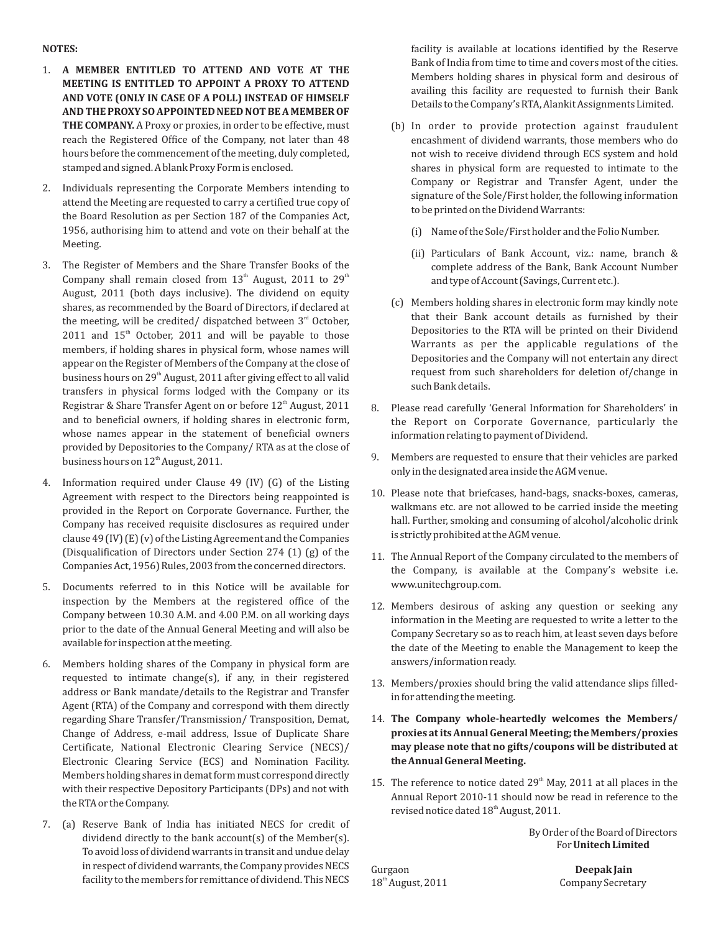#### **NOTES:**

- 1. **A MEMBER ENTITLED TO ATTEND AND VOTE AT THE MEETING IS ENTITLED TO APPOINT A PROXY TO ATTEND AND VOTE (ONLY IN CASE OF A POLL) INSTEAD OF HIMSELF AND THE PROXY SO APPOINTED NEED NOT BE A MEMBER OF**  THE COMPANY. A Proxy or proxies, in order to be effective, must reach the Registered Office of the Company, not later than 48 hours before the commencement of the meeting, duly completed, stamped and signed. A blank Proxy Form is enclosed.
- 2. Individuals representing the Corporate Members intending to attend the Meeting are requested to carry a certified true copy of the Board Resolution as per Section 187 of the Companies Act, 1956, authorising him to attend and vote on their behalf at the Meeting.
- 3. The Register of Members and the Share Transfer Books of the Company shall remain closed from  $13<sup>th</sup>$  August, 2011 to  $29<sup>th</sup>$ August, 2011 (both days inclusive). The dividend on equity shares, as recommended by the Board of Directors, if declared at the meeting, will be credited/ dispatched between  $3<sup>rd</sup>$  October,  $2011$  and  $15<sup>th</sup>$  October, 2011 and will be payable to those members, if holding shares in physical form, whose names will appear on the Register of Members of the Company at the close of business hours on 29<sup>th</sup> August, 2011 after giving effect to all valid transfers in physical forms lodged with the Company or its Registrar & Share Transfer Agent on or before  $12<sup>th</sup>$  August, 2011 and to beneficial owners, if holding shares in electronic form, whose names appear in the statement of beneficial owners provided by Depositories to the Company/ RTA as at the close of business hours on  $12<sup>th</sup>$  August, 2011.
- 4. Information required under Clause 49 (IV) (G) of the Listing Agreement with respect to the Directors being reappointed is provided in the Report on Corporate Governance. Further, the Company has received requisite disclosures as required under clause 49 (IV) (E) (v) of the Listing Agreement and the Companies (Disqualification of Directors under Section 274 (1) (g) of the Companies Act, 1956) Rules, 2003 from the concerned directors.
- 5. Documents referred to in this Notice will be available for inspection by the Members at the registered office of the Company between 10.30 A.M. and 4.00 P.M. on all working days prior to the date of the Annual General Meeting and will also be available for inspection at the meeting.
- 6. Members holding shares of the Company in physical form are requested to intimate change(s), if any, in their registered address or Bank mandate/details to the Registrar and Transfer Agent (RTA) of the Company and correspond with them directly regarding Share Transfer/Transmission/ Transposition, Demat, Change of Address, e-mail address, Issue of Duplicate Share Certificate, National Electronic Clearing Service (NECS)/ Electronic Clearing Service (ECS) and Nomination Facility. Members holding shares in demat form must correspond directly with their respective Depository Participants (DPs) and not with the RTA or the Company.
- 7. (a) Reserve Bank of India has initiated NECS for credit of dividend directly to the bank account(s) of the Member(s). To avoid loss of dividend warrants in transit and undue delay in respect of dividend warrants, the Company provides NECS facility to the members for remittance of dividend. This NECS

facility is available at locations identified by the Reserve Bank of India from time to time and covers most of the cities. Members holding shares in physical form and desirous of availing this facility are requested to furnish their Bank Details to the Company's RTA, Alankit Assignments Limited.

- (b) In order to provide protection against fraudulent encashment of dividend warrants, those members who do not wish to receive dividend through ECS system and hold shares in physical form are requested to intimate to the Company or Registrar and Transfer Agent, under the signature of the Sole/First holder, the following information to be printed on the Dividend Warrants:
	- (i) Name of the Sole/First holder and the Folio Number.
	- (ii) Particulars of Bank Account, viz.: name, branch & complete address of the Bank, Bank Account Number and type of Account (Savings, Current etc.).
- (c) Members holding shares in electronic form may kindly note that their Bank account details as furnished by their Depositories to the RTA will be printed on their Dividend Warrants as per the applicable regulations of the Depositories and the Company will not entertain any direct request from such shareholders for deletion of/change in such Bank details.
- 8. Please read carefully 'General Information for Shareholders' in the Report on Corporate Governance, particularly the information relating to payment of Dividend.
- 9. Members are requested to ensure that their vehicles are parked only in the designated area inside the AGM venue.
- 10. Please note that briefcases, hand-bags, snacks-boxes, cameras, walkmans etc. are not allowed to be carried inside the meeting hall. Further, smoking and consuming of alcohol/alcoholic drink is strictly prohibited at the AGM venue.
- 11. The Annual Report of the Company circulated to the members of the Company, is available at the Company's website i.e. www.unitechgroup.com.
- 12. Members desirous of asking any question or seeking any information in the Meeting are requested to write a letter to the Company Secretary so as to reach him, at least seven days before the date of the Meeting to enable the Management to keep the answers/information ready.
- 13. Members/proxies should bring the valid attendance slips filledin for attending the meeting.
- 14. **The Company whole-heartedly welcomes the Members/ proxies at its Annual General Meeting; the Members/proxies may please note that no gifts/coupons will be distributed at the Annual General Meeting.**
- 15. The reference to notice dated  $29<sup>th</sup>$  May, 2011 at all places in the Annual Report 2010-11 should now be read in reference to the revised notice dated 18<sup>th</sup> August, 2011.

By Order of the Board of Directors For **Unitech Limited**

Gurgaon **Deepak Jain**

18<sup>th</sup> August, 2011 Company Secretary